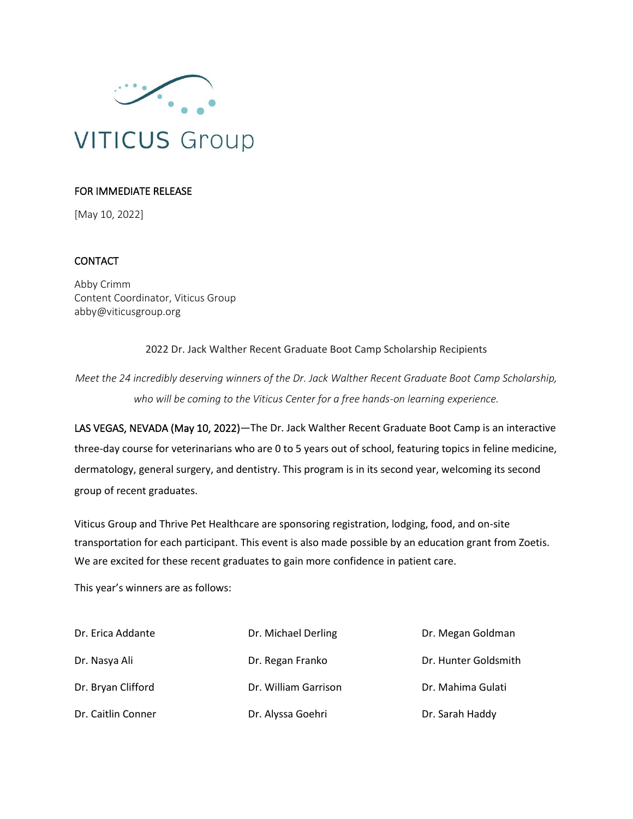

## FOR IMMEDIATE RELEASE

[May 10, 2022]

## **CONTACT**

Abby Crimm Content Coordinator, Viticus Group abby@viticusgroup.org

2022 Dr. Jack Walther Recent Graduate Boot Camp Scholarship Recipients

*Meet the 24 incredibly deserving winners of the Dr. Jack Walther Recent Graduate Boot Camp Scholarship, who will be coming to the Viticus Center for a free hands-on learning experience.* 

LAS VEGAS, NEVADA (May 10, 2022)—The Dr. Jack Walther Recent Graduate Boot Camp is an interactive three-day course for veterinarians who are 0 to 5 years out of school, featuring topics in feline medicine, dermatology, general surgery, and dentistry. This program is in its second year, welcoming its second group of recent graduates.

Viticus Group and Thrive Pet Healthcare are sponsoring registration, lodging, food, and on-site transportation for each participant. This event is also made possible by an education grant from Zoetis. We are excited for these recent graduates to gain more confidence in patient care.

This year's winners are as follows:

| Dr. Erica Addante  | Dr. Michael Derling  | Dr. Megan Goldman    |
|--------------------|----------------------|----------------------|
| Dr. Nasya Ali      | Dr. Regan Franko     | Dr. Hunter Goldsmith |
| Dr. Bryan Clifford | Dr. William Garrison | Dr. Mahima Gulati    |
| Dr. Caitlin Conner | Dr. Alyssa Goehri    | Dr. Sarah Haddy      |